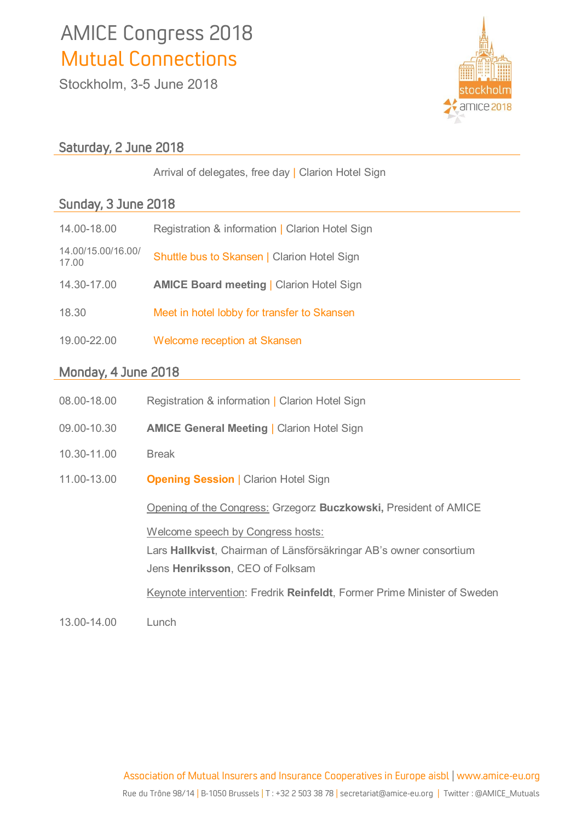# AMICE Congress 2018 Mutual Connections

**Stockholm, 3-5 June 2018**



## Saturday, 2 June 2018

**Arrival of delegates, free day | Clarion Hotel Sign** 

## Sunday, 3 June 2018

| 14.00-18.00                 | Registration & information   Clarion Hotel Sign |
|-----------------------------|-------------------------------------------------|
| 14.00/15.00/16.00/<br>17.00 | Shuttle bus to Skansen   Clarion Hotel Sign     |
| 14.30-17.00                 | <b>AMICE Board meeting   Clarion Hotel Sign</b> |
| 18.30                       | Meet in hotel lobby for transfer to Skansen     |
| 19.00-22.00                 | Welcome reception at Skansen                    |

## Monday, 4 June 2018

| 08.00-18.00 | Registration & information   Clarion Hotel Sign                                                                                                                                                                        |
|-------------|------------------------------------------------------------------------------------------------------------------------------------------------------------------------------------------------------------------------|
| 09.00-10.30 | <b>AMICE General Meeting   Clarion Hotel Sign</b>                                                                                                                                                                      |
| 10.30-11.00 | <b>Break</b>                                                                                                                                                                                                           |
| 11.00-13.00 | <b>Opening Session   Clarion Hotel Sign</b>                                                                                                                                                                            |
|             | Opening of the Congress: Grzegorz Buczkowski, President of AMICE                                                                                                                                                       |
|             | Welcome speech by Congress hosts:<br>Lars Hallkvist, Chairman of Länsförsäkringar AB's owner consortium<br>Jens Henriksson, CEO of Folksam<br>Keynote intervention: Fredrik Reinfeldt, Former Prime Minister of Sweden |
| 13.00-14.00 | Lunch                                                                                                                                                                                                                  |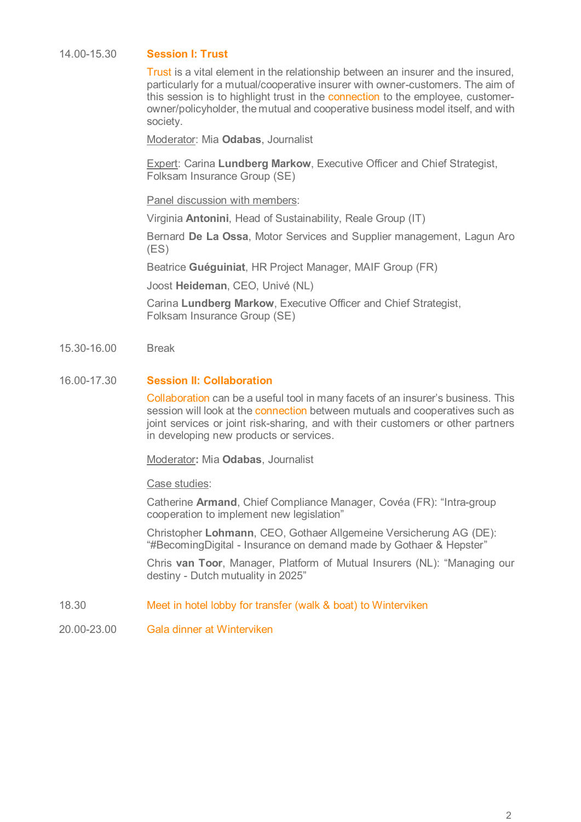#### **14.00-15.30 Session I: Trust**

**Trust is a vital element in the relationship between an insurer and the insured, particularly for a mutual/cooperative insurer with owner-customers. The aim of this session is to highlight trust in the connection to the employee, customerowner/policyholder, the mutual and cooperative business model itself, and with society.**

**Moderator: Mia Odabas, Journalist**

**Expert: Carina Lundberg Markow, Executive Officer and Chief Strategist, Folksam Insurance Group (SE)**

**Panel discussion with members:**

**Virginia Antonini, Head of Sustainability, Reale Group (IT)**

**Bernard De La Ossa, Motor Services and Supplier management, Lagun Aro (ES)**

**Beatrice Guéguiniat, HR Project Manager, MAIF Group (FR)**

**Joost Heideman, CEO, Univé (NL)**

**Carina Lundberg Markow, Executive Officer and Chief Strategist, Folksam Insurance Group (SE)**

**15.30-16.00 Break**

#### **16.00-17.30 Session II: Collaboration**

**Collaboration can be a useful tool in many facets of an insurer's business. This session will look at the connection between mutuals and cooperatives such as joint services or joint risk-sharing, and with their customers or other partners in developing new products or services.**

**Moderator: Mia Odabas, Journalist**

**Case studies:** 

**Catherine Armand, Chief Compliance Manager, Covéa (FR): "Intra-group cooperation to implement new legislation"**

**Christopher Lohmann, CEO, Gothaer Allgemeine Versicherung AG (DE): "#BecomingDigital - Insurance on demand made by Gothaer & Hepster"**

**Chris van Toor, Manager, Platform of Mutual Insurers (NL): "Managing our destiny - Dutch mutuality in 2025"**

- **18.30 Meet in hotel lobby for transfer (walk & boat) to Winterviken**
- **20.00-23.00 Gala dinner at Winterviken**